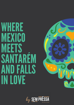# WHERE MEXICO **MEETS** SANTAREM AND FALLS **IN LOVE**

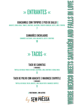### » ENTRANTES «

### GUACAMOLE COM TOPOPOS E PICO DE GALLO V

ABACATE, CEBOLA ROXA, TOMATE, COENTROS, JALAPEÑOS, PIMENTO VERMELHO, AZEITE, LIMA E TOPOPOS

7

### CAMARÕES ENCHILADOS

CAMARÕES SALTEADOS, ALHO, MALAQUETA, AZEITE E COENTROS

10

### » TACOS «

### TACO DE CARNITAS

3 UNIDADES

TORTILLA DE MILHO, PORCO ESTUFADO, JALAPEÑOS, LIMA, COENTROS E CEBOLA ROXA 11

### TACO DE POLVO COM ABACATE E MAIONESE CHIPOTLE

3 UNIDADES

TORTILLA DE MILHO, POLVO, ABACATE, LIMA, MILHO FRITO E MAIONESE CHIPOTLE

11

V VEGETARIANO L COM LACTOSE



W

**Z** 

H

 $=$ 

E**RE** E

E**RE** E

 $\geq$ 

 $\geq$ 

EX $\overline{\phantom{a}}$ **RES** 

EX**International Control** <u>d b</u>

 $\blacksquare$ 

 $\qquad \qquad \qquad \qquad$ 

 $\geq$ 

**M** 

EETCP

EETCO

CP

CO

A

A

N

N

T

T

A

A

**RE Allul** 

**RE Alman** 

 $\geq$ 

**Marita** 

A

A

N

N

D

D

**FLASH** A

FA

ى  $\equiv$ CP

 $\overline{\phantom{0}}$  $\equiv$ CO

**International Property** N

<u>In the second part of the second part of the second part of the second part of the second part of the second part of the second part of the second part of the second part of the second part of the second part of the secon</u> N

L $\quad \ \ \, \blacksquare$ 

 $\equiv$  $\qquad \qquad \qquad \qquad$ 

 $\blacktriangleright$ E

 $\gg$ <u>en g</u>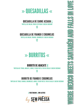

#### QUESADILLA DE CARNE ASSADA L

TORTILLA DE MILHO, PORCO ESTUFADO E QUEIJO CHEDDAR

13

### QUESADILLA DE FRANGO E COGUMELOS

TORTILLA DE MILHO, FRANGO, COGUMELOS E QUEIJO CHEDDAR

12

### » BURRITOS «

### **BURRITO DE ABACATE V**

TORTILHA DE TRIGO, ABACATE, ARROZ, FEIJÃO PRETO, PICO DE GALLO E QUEIJO CHEDDAR

11

### BURRITO DE FRANGO E COGUMELOS

TORTILHA DE TRIGO, FRANGO, COGUMELOS, ARROZ, FEIJÃO PRETO, PICO DE GALLO E QUEIJO CHEDDAR

13

V VEGETARIANO L COM LACTOSE



W

**Z** 

H

 $=$ 

E**RE** E

E**RE** E

 $\geq$ 

 $\geq$ 

EX $\overline{\phantom{a}}$ **RES** 

EX**International Control** <u>d b</u>

 $\blacksquare$ 

 $\qquad \qquad \qquad \qquad$ 

 $\geq$ 

**M** 

EETCP

EETCO

CP

CO

A

A

N

N

T

T

A

A

**RE Allul** 

**RE Alman** 

 $\geq$ 

**M** 

A

A

N

N

D

D

**FLASH** A

FA

ى  $\equiv$ CP

 $\overline{\phantom{0}}$  $\equiv$ CO

**International Property** N

<u>In the second part of the second part of</u> N

L $\quad \ \ \, \blacksquare$ 

 $\equiv$  $\qquad \qquad \qquad \qquad$ 

 $\blacktriangleright$ E

 $\gg$ <u>en g</u>